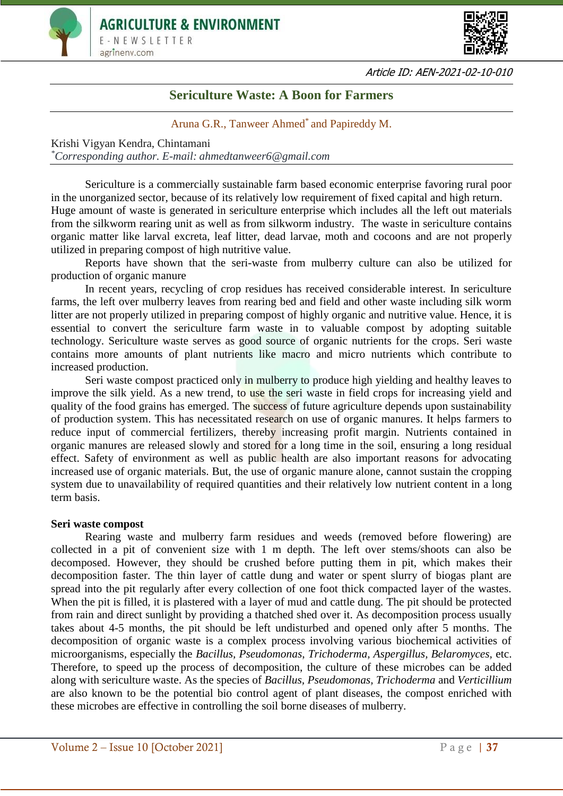



Article ID: AEN-2021-02-10-010

# **Sericulture Waste: A Boon for Farmers**

Aruna G.R., Tanweer Ahmed<sup>\*</sup> and Papireddy M.

Krishi Vigyan Kendra, Chintamani *\*Corresponding author. E-mail: ahmedtanweer6@gmail.com*

Sericulture is a commercially sustainable farm based economic enterprise favoring rural poor in the unorganized sector, because of its relatively low requirement of fixed capital and high return. Huge amount of waste is generated in sericulture enterprise which includes all the left out materials from the silkworm rearing unit as well as from silkworm industry. The waste in sericulture contains organic matter like larval excreta, leaf litter, dead larvae, moth and cocoons and are not properly utilized in preparing compost of high nutritive value.

Reports have shown that the seri-waste from mulberry culture can also be utilized for production of organic manure

In recent years, recycling of crop residues has received considerable interest. In sericulture farms, the left over mulberry leaves from rearing bed and field and other waste including silk worm litter are not properly utilized in preparing compost of highly organic and nutritive value. Hence, it is essential to convert the sericulture farm waste in to valuable compost by adopting suitable technology. Sericulture waste serves as good source of organic nutrients for the crops. Seri waste contains more amounts of plant nutrients like macro and micro nutrients which contribute to increased production.

Seri waste compost practiced only in mulberry to produce high yielding and healthy leaves to improve the silk yield. As a new trend, to use the seri waste in field crops for increasing yield and quality of the food grains has emerged. The success of future agriculture depends upon sustainability of production system. This has necessitated research on use of organic manures. It helps farmers to reduce input of commercial fertilizers, thereby increasing profit margin. Nutrients contained in organic manures are released slowly and stored for a long time in the soil, ensuring a long residual effect. Safety of environment as well as public health are also important reasons for advocating increased use of organic materials. But, the use of organic manure alone, cannot sustain the cropping system due to unavailability of required quantities and their relatively low nutrient content in a long term basis.

#### **Seri waste compost**

Rearing waste and mulberry farm residues and weeds (removed before flowering) are collected in a pit of convenient size with 1 m depth. The left over stems/shoots can also be decomposed. However, they should be crushed before putting them in pit, which makes their decomposition faster. The thin layer of cattle dung and water or spent slurry of biogas plant are spread into the pit regularly after every collection of one foot thick compacted layer of the wastes. When the pit is filled, it is plastered with a layer of mud and cattle dung. The pit should be protected from rain and direct sunlight by providing a thatched shed over it. As decomposition process usually takes about 4-5 months, the pit should be left undisturbed and opened only after 5 months. The decomposition of organic waste is a complex process involving various biochemical activities of microorganisms, especially the *Bacillus, Pseudomonas*, *Trichoderma, Aspergillus, Belaromyces,* etc. Therefore, to speed up the process of decomposition, the culture of these microbes can be added along with sericulture waste. As the species of *Bacillus, Pseudomonas, Trichoderma* and *Verticillium* are also known to be the potential bio control agent of plant diseases, the compost enriched with these microbes are effective in controlling the soil borne diseases of mulberry.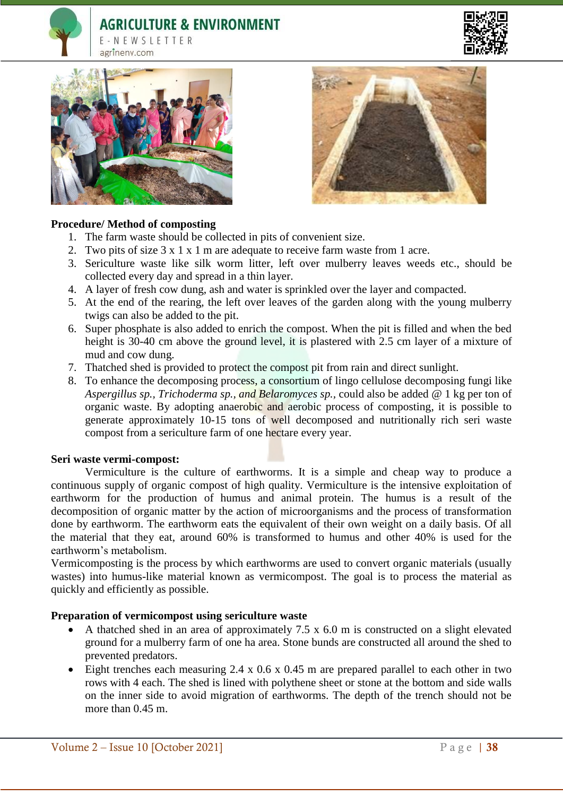# **AGRICULTURE & ENVIRONMENT**











### **Procedure/ Method of composting**

- 1. The farm waste should be collected in pits of convenient size.
- 2. Two pits of size 3 x 1 x 1 m are adequate to receive farm waste from 1 acre.
- 3. Sericulture waste like silk worm litter, left over mulberry leaves weeds etc., should be collected every day and spread in a thin layer.
- 4. A layer of fresh cow dung, ash and water is sprinkled over the layer and compacted.
- 5. At the end of the rearing, the left over leaves of the garden along with the young mulberry twigs can also be added to the pit.
- 6. Super phosphate is also added to enrich the compost. When the pit is filled and when the bed height is 30-40 cm above the ground level, it is plastered with 2.5 cm layer of a mixture of mud and cow dung.
- 7. Thatched shed is provided to protect the compost pit from rain and direct sunlight.
- 8. To enhance the decomposing process, a consortium of lingo cellulose decomposing fungi like *Aspergillus sp., Trichoderma sp., and Belaromyces sp.,* could also be added @ 1 kg per ton of organic waste. By adopting anaerobic and aerobic process of composting, it is possible to generate approximately 10-15 tons of well decomposed and nutritionally rich seri waste compost from a sericulture farm of one hectare every year.

#### **Seri waste vermi-compost:**

Vermiculture is the culture of earthworms. It is a simple and cheap way to produce a continuous supply of organic compost of high quality. Vermiculture is the intensive exploitation of earthworm for the production of humus and animal protein. The humus is a result of the decomposition of organic matter by the action of microorganisms and the process of transformation done by earthworm. The earthworm eats the equivalent of their own weight on a daily basis. Of all the material that they eat, around 60% is transformed to humus and other 40% is used for the earthworm's metabolism.

Vermicomposting is the process by which earthworms are used to convert organic materials (usually wastes) into humus-like material known as vermicompost. The goal is to process the material as quickly and efficiently as possible.

## **Preparation of vermicompost using sericulture waste**

- A thatched shed in an area of approximately 7.5 x 6.0 m is constructed on a slight elevated ground for a mulberry farm of one ha area. Stone bunds are constructed all around the shed to prevented predators.
- Eight trenches each measuring 2.4 x 0.6 x 0.45 m are prepared parallel to each other in two rows with 4 each. The shed is lined with polythene sheet or stone at the bottom and side walls on the inner side to avoid migration of earthworms. The depth of the trench should not be more than  $0.45$  m.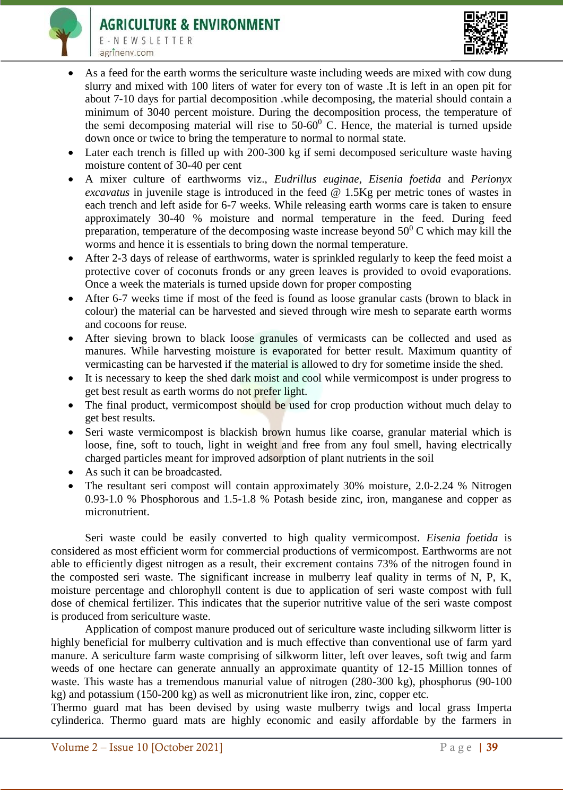

E-NEWSLETTER agrinenv.com



- As a feed for the earth worms the sericulture waste including weeds are mixed with cow dung slurry and mixed with 100 liters of water for every ton of waste .It is left in an open pit for about 7-10 days for partial decomposition .while decomposing, the material should contain a minimum of 3040 percent moisture. During the decomposition process, the temperature of the semi decomposing material will rise to  $50{\text -}60^{\circ}$  C. Hence, the material is turned upside down once or twice to bring the temperature to normal to normal state.
- Later each trench is filled up with 200-300 kg if semi decomposed sericulture waste having moisture content of 30-40 per cent
- A mixer culture of earthworms viz., *Eudrillus euginae*, *Eisenia foetida* and *Perionyx excavatus* in juvenile stage is introduced in the feed @ 1.5Kg per metric tones of wastes in each trench and left aside for 6-7 weeks. While releasing earth worms care is taken to ensure approximately 30-40 % moisture and normal temperature in the feed. During feed preparation, temperature of the decomposing waste increase beyond  $50^0$  C which may kill the worms and hence it is essentials to bring down the normal temperature.
- After 2-3 days of release of earthworms, water is sprinkled regularly to keep the feed moist a protective cover of coconuts fronds or any green leaves is provided to ovoid evaporations. Once a week the materials is turned upside down for proper composting
- After 6-7 weeks time if most of the feed is found as loose granular casts (brown to black in colour) the material can be harvested and sieved through wire mesh to separate earth worms and cocoons for reuse.
- After sieving brown to black loose granules of vermicasts can be collected and used as manures. While harvesting moisture is evaporated for better result. Maximum quantity of vermicasting can be harvested if the material is allowed to dry for sometime inside the shed.
- It is necessary to keep the shed dark moist and cool while vermicompost is under progress to get best result as earth worms do not prefer light.
- The final product, vermicompost should be used for crop production without much delay to get best results.
- Seri waste vermicompost is blackish brown humus like coarse, granular material which is loose, fine, soft to touch, light in weight and free from any foul smell, having electrically charged particles meant for improved adsorption of plant nutrients in the soil
- As such it can be broadcasted.
- The resultant seri compost will contain approximately 30% moisture, 2.0-2.24 % Nitrogen 0.93-1.0 % Phosphorous and 1.5-1.8 % Potash beside zinc, iron, manganese and copper as micronutrient.

Seri waste could be easily converted to high quality vermicompost. *Eisenia foetida* is considered as most efficient worm for commercial productions of vermicompost. Earthworms are not able to efficiently digest nitrogen as a result, their excrement contains 73% of the nitrogen found in the composted seri waste. The significant increase in mulberry leaf quality in terms of N, P, K, moisture percentage and chlorophyll content is due to application of seri waste compost with full dose of chemical fertilizer. This indicates that the superior nutritive value of the seri waste compost is produced from sericulture waste.

Application of compost manure produced out of sericulture waste including silkworm litter is highly beneficial for mulberry cultivation and is much effective than conventional use of farm yard manure. A sericulture farm waste comprising of silkworm litter, left over leaves, soft twig and farm weeds of one hectare can generate annually an approximate quantity of 12-15 Million tonnes of waste. This waste has a tremendous manurial value of nitrogen (280-300 kg), phosphorus (90-100 kg) and potassium (150-200 kg) as well as micronutrient like iron, zinc, copper etc.

Thermo guard mat has been devised by using waste mulberry twigs and local grass Imperta cylinderica. Thermo guard mats are highly economic and easily affordable by the farmers in